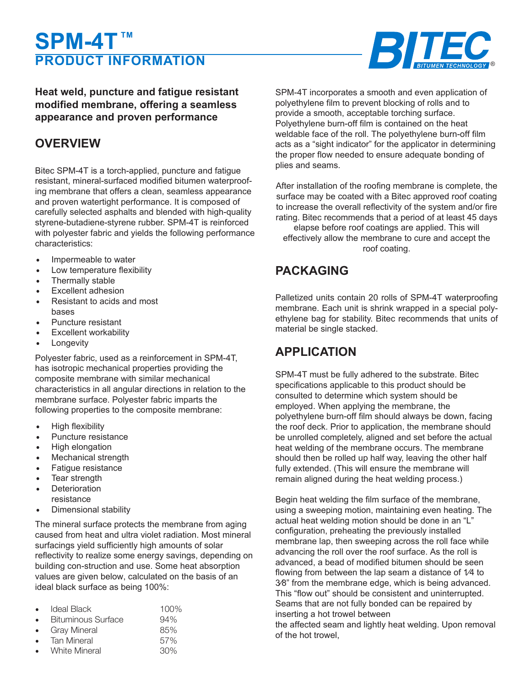# **SPM-4T**™ **PRODUCT INFORMATION**



**Heat welded, puncture and fatigue resistant modified membrane, offering a seamless appearance and proven performance**

## **OVERVIEW**

Bitec SPM-4T is heat welded, puncture and fatigue resistant, mineral-surfaced modified bitumen waterproofing membrane that offers a clean, seamless appearance and proven watertight performance. It is composed of carefully selected asphalts and blended with high-quality styrene-butadiene-styrene rubber. SPM-4T is reinforced with polyester fabric and yields the following performance characteristics:

- Impermeable to water
- Low temperature flexibility
- Thermally stable
- Excellent adhesion
- Resistant to acids and most bases
- Puncture resistant
- **Excellent workability**
- **Longevity**

Polyester fabric, used as a reinforcement in SPM-4T, has isotropic mechanical properties providing the composite membrane with similar mechanical characteristics in all angular directions in relation to the membrane surface. Polyester fabric imparts the following properties to the composite membrane:

- High flexibility
- Puncture resistance
- High elongation
- **Mechanical strength**
- Fatigue resistance
- **Tear strength**
- **Deterioration** resistance
- Dimensional stability

The mineral surface protects the membrane from aging caused from heat and ultra violet radiation. Most mineral surfacing yield sufficiently high amounts of solar reflectivity to realize some energy savings, depending on building construction and use. Some heat absorption values are given below, calculated on the basis of an ideal black surface as being 100%:

| $\bullet$ | Ideal Black          | $100\%$ |
|-----------|----------------------|---------|
| $\bullet$ | Bituminous Surface   | 94%     |
| $\bullet$ | <b>Gray Mineral</b>  | 85%     |
| $\bullet$ | <b>Tan Mineral</b>   | 57%     |
| $\bullet$ | <b>White Mineral</b> | 30%     |

SPM-4T incorporates a smooth and even application of polyethylene film to prevent blocking of rolls and to provide a smooth, acceptable heat welding surface. Polyethylene film is contained on the heat weldable face of the roll. The polyethylene film acts as a "sight indicator" for the applicator in determining the proper flow needed to ensure adequate bonding of plies and seams.

After installation of the roofing membrane is complete, the surface may be coated with a Bitec approved roof coating to increase the overall reflectivity of the system and/or fire rating. Bitec recommends that a period of at least 45 days elapse before roof coatings are applied. This will effectively allow the membrane to cure and accept the roof coating.

## **PACKAGING**

Palletized units contain 20 rolls of SPM-4T waterproofing membrane. Each unit is shrink wrapped in a special polyethylene bag for stability. Bitec recommends that units of material be single stacked.

### **APPLICATION**

SPM-4T must be fully adhered to the substrate. Bitec specifications applicable to this product should be consulted to determine which system should be employed. When applying the membrane, the polyethylene burn-off film should always be down, facing the roof deck. Prior to application, the membrane should be unrolled completely, aligned and set before the actual heat welding of the membrane occurs. The membrane should then be rolled up half way, leaving the other half fully extended. (This will ensure the membrane will remain aligned during the heat welding process.)

Begin heat welding the film surface of the membrane, using a sweeping motion, maintaining even heating. The actual heat welding motion should be done in an "L" configuration, preheating the previously installed membrane lap, then sweeping across the roll face while advancing the roll over the roof surface. As the roll is advanced, a bead of modified bitumen should be seen flowing from between the lap seam a distance of 1⁄4 to 3⁄8" from the membrane edge, which is being advanced. This "flow out" should be consistent and uninterrupted. Seams that are not fully bonded can be repaired by inserting a hot trowel between the affected seam and lightly heat welding. Upon removal of the hot trowel,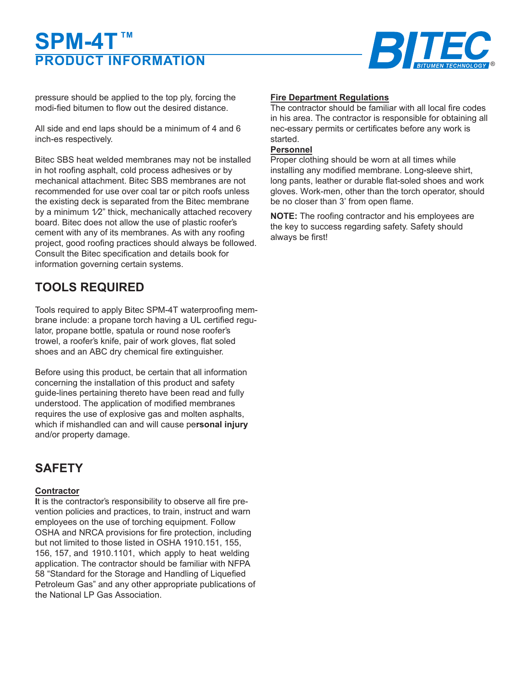# **PRODUCT INFORMATION SPM-4T**™



pressure should be applied to the top ply, forcing the modified bitumen to flow out the desired distance.

All side and end laps should be a minimum of 4 and 6 inches respectively.

Bitec SBS heat welded membranes may not be installed in hot roofing asphalt, cold process adhesives or by mechanical attachment. Bitec SBS membranes are not recommended for use over coal tar or pitch roofs unless the existing deck is separated from the Bitec membrane by a minimum  $1/2$ " thick, mechanically attached recovery board. Bitec does not allow the use of plastic roofer's cement with any of its membranes. As with any roofing project, good roofing practices should always be followed. Consult the Bitec specification and details for information governing certain systems.

# **TOOLS REQUIRED**

Tools required to apply Bitec SPM-4T waterproofing membrane include: heat welding equipment having a UL certified regulator, propane bottle, spatula or round nose roofer's trowel, a roofer's knife, pair of work gloves, flat soled shoes and an ABC dry chemical fire extinguisher. Alternately, an approved hot air welder may be employed.

Before using this product, be certain that all information concerning the installation of this product and safety guidelines pertaining thereto have been read and fully understood. The application of modified membranes requires the use of explosive gas and molten asphalts, which if mishandled can and will cause personal injury and/or property damage.

# **SAFETY**

#### **Contractor**

**I**t is the contractor's responsibility to observe all fire prevention policies and practices, to train, instruct and warn employees on the use of heat welding equipment. Follow OSHA and NRCA provisions for fire protection, including but not limited to those listed in OSHA 1910.151, 155, 156, 157, and 1910.1101, which apply to heat welding application. The contractor should be familiar with NFPA 58 "Standard for the Storage and Handling of Liquefied Petroleum Gas" and any other appropriate publications of the National LP Gas Association.

#### **Fire Department Regulations**

The contractor should be familiar with all local fire codes in his area. The contractor is responsible for obtaining all necessary permits or certificates before any work is started.

#### **Personnel**

Proper clothing should be worn at all times while installing any modified membrane. Long sleeve shirt, long pants, leather or durable flat-soled shoes and work gloves. Workers, other than the torch operator, should be no closer than 3' from open flame.

**NOTE:** The roofing contractor and his employees are the key to success regarding safety. Safety should always be first!